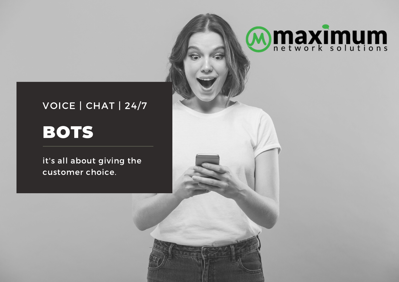#### VOICE | CHAT | 24/7

**Mmaximum** 

### BOTS

it's all about giving the customer choice.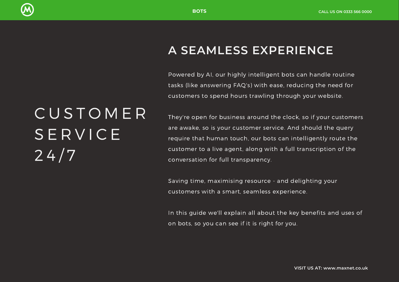

#### **A SEAMLESS EXPERIENCE**

Powered by AI, our highly intelligent bots can handle routine tasks (like answering FAQ's) with ease, reducing the need for customers to spend hours trawling through your website.

## C U S T O M E R **SERVICE**  $24/7$

They're open for business around the clock, so if your customers are awake, so is your customer service. And should the query require that human touch, our bots can intelligently route the customer to a live agent, along with a full transcription of the conversation for full transparency.

Saving time, maximising resource - and delighting your customers with a smart, seamless experience.

In this guide we'll explain all about the key benefits and uses of on bots, so you can see if it is right for you.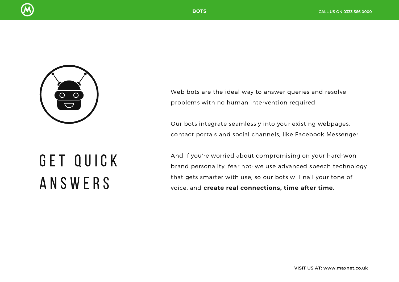



Web bots are the ideal way to answer queries and resolve problems with no human intervention required.

Our bots integrate seamlessly into your existing webpages, contact portals and social channels, like Facebook Messenger.

## GET QUICK A N S W E R S

And if you're worried about compromising on your hard-won brand personality, fear not: we use advanced speech technology that gets smarter with use, so our bots will nail your tone of voice, and **create real connections, time after time.**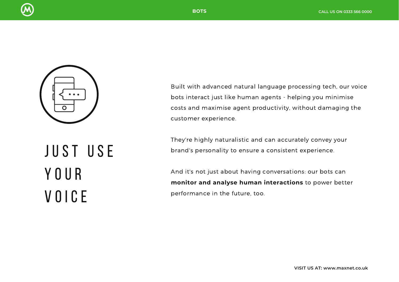



# J U S T U S E Y O U R V O I C E

Built with advanced natural language processing tech, our voice bots interact just like human agents - helping you minimise costs and maximise agent productivity, without damaging the customer experience.

They're highly naturalistic and can accurately convey your brand's personality to ensure a consistent experience.

And it's not just about having conversations: our bots can **monitor and analyse human interactions** to power better performance in the future, too.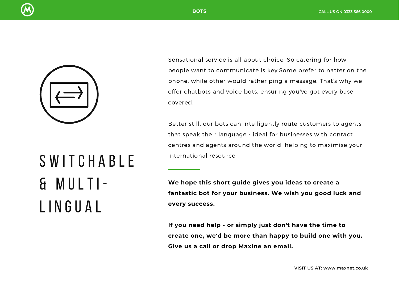



Sensational service is all about choice. So catering for how people want to communicate is key.Some prefer to natter on the phone, while other would rather ping a message. That's why we offer chatbots and voice bots, ensuring you've got every base covered.

Better still, our bots can intelligently route customers to agents that speak their language - ideal for businesses with contact centres and agents around the world, helping to maximise your international resource.

**We hope this short guide gives you ideas to create a fantastic bot for your business. We wish you good luck and every success.**

**If you need help - or simply just don't have the time to create one, we'd be more than happy to build one with you. Give us a call or drop Maxine an email.**

# S W I T C H A B L E & M U L T I - L I N G U A L